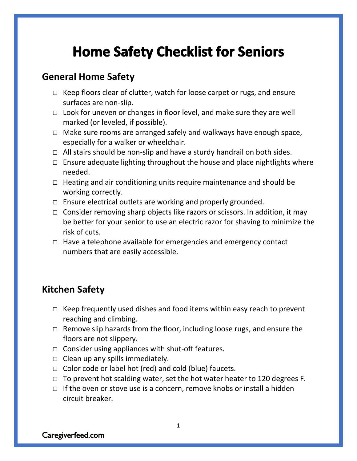# **Home Safety Checklist for Seniors**

#### **General Home Safety**

- $\Box$  Keep floors clear of clutter, watch for loose carpet or rugs, and ensure surfaces are non-slip.
- $\Box$  Look for uneven or changes in floor level, and make sure they are well marked (or leveled, if possible).
- $\Box$  Make sure rooms are arranged safely and walkways have enough space, especially for a walker or wheelchair.
- $\Box$  All stairs should be non-slip and have a sturdy handrail on both sides.
- $\Box$  Ensure adequate lighting throughout the house and place nightlights where needed.
- $\Box$  Heating and air conditioning units require maintenance and should be working correctly.
- $\Box$  Ensure electrical outlets are working and properly grounded.
- $\Box$  Consider removing sharp objects like razors or scissors. In addition, it may be better for your senior to use an electric razor for shaving to minimize the risk of cuts.
- $\Box$  Have a telephone available for emergencies and emergency contact numbers that are easily accessible.

## **Kitchen Safety**

- $\Box$  Keep frequently used dishes and food items within easy reach to prevent reaching and climbing.
- $\Box$  Remove slip hazards from the floor, including loose rugs, and ensure the floors are not slippery.
- $\Box$  Consider using appliances with shut-off features.
- $\Box$  Clean up any spills immediately.
- $\Box$  Color code or label hot (red) and cold (blue) faucets.
- $\Box$  To prevent hot scalding water, set the hot water heater to 120 degrees F.
- $\Box$  If the oven or stove use is a concern, remove knobs or install a hidden circuit breaker.

Caregiverfeed.com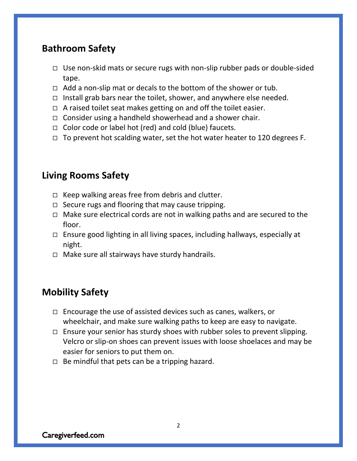### **Bathroom Safety**

- $\Box$  Use non-skid mats or secure rugs with non-slip rubber pads or double-sided tape.
- $\Box$  Add a non-slip mat or decals to the bottom of the shower or tub.
- $\Box$  Install grab bars near the toilet, shower, and anywhere else needed.
- $\Box$  A raised toilet seat makes getting on and off the toilet easier.
- $\Box$  Consider using a handheld showerhead and a shower chair.
- $\Box$  Color code or label hot (red) and cold (blue) faucets.
- $\Box$  To prevent hot scalding water, set the hot water heater to 120 degrees F.

### **Living Rooms Safety**

- $\Box$  Keep walking areas free from debris and clutter.
- $\Box$  Secure rugs and flooring that may cause tripping.
- $\Box$  Make sure electrical cords are not in walking paths and are secured to the floor.
- $\Box$  Ensure good lighting in all living spaces, including hallways, especially at night.
- $\Box$  Make sure all stairways have sturdy handrails.

## **Mobility Safety**

- $\Box$  Encourage the use of assisted devices such as canes, walkers, or wheelchair, and make sure walking paths to keep are easy to navigate.
- $\Box$  Ensure your senior has sturdy shoes with rubber soles to prevent slipping. Velcro or slip-on shoes can prevent issues with loose shoelaces and may be easier for seniors to put them on.
- $\Box$  Be mindful that pets can be a tripping hazard.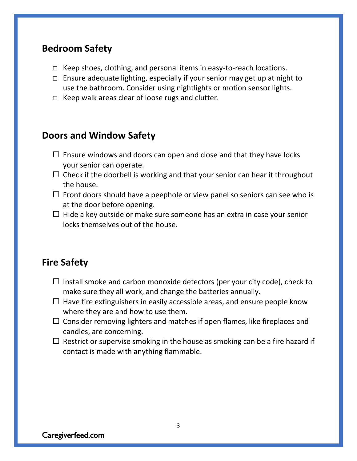#### **Bedroom Safety**

- $\Box$  Keep shoes, clothing, and personal items in easy-to-reach locations.
- $\Box$  Ensure adequate lighting, especially if your senior may get up at night to use the bathroom. Consider using nightlights or motion sensor lights.
- $\Box$  Keep walk areas clear of loose rugs and clutter.

#### **Doors and Window Safety**

- $\Box$  Ensure windows and doors can open and close and that they have locks your senior can operate.
- $\Box$  Check if the doorbell is working and that your senior can hear it throughout the house.
- $\Box$  Front doors should have a peephole or view panel so seniors can see who is at the door before opening.
- $\Box$  Hide a key outside or make sure someone has an extra in case your senior locks themselves out of the house.

#### **Fire Safety**

- $\Box$  Install smoke and carbon monoxide detectors (per your city code), check to make sure they all work, and change the batteries annually.
- $\Box$  Have fire extinguishers in easily accessible areas, and ensure people know where they are and how to use them.
- $\Box$  Consider removing lighters and matches if open flames, like fireplaces and candles, are concerning.
- $\Box$  Restrict or supervise smoking in the house as smoking can be a fire hazard if contact is made with anything flammable.